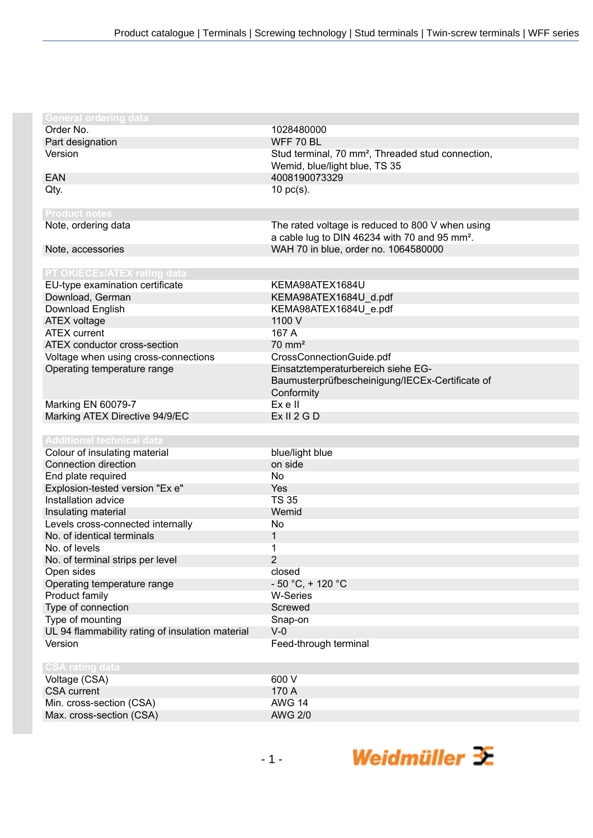| <b>General ordering data</b>                     |                                                               |
|--------------------------------------------------|---------------------------------------------------------------|
| Order No.                                        | 1028480000                                                    |
| Part designation                                 | WFF 70 BL                                                     |
| Version                                          | Stud terminal, 70 mm <sup>2</sup> , Threaded stud connection, |
|                                                  | Wemid, blue/light blue, TS 35                                 |
| EAN                                              | 4008190073329                                                 |
| Qty.                                             | $10$ pc(s).                                                   |
|                                                  |                                                               |
| <b>Product notes</b>                             |                                                               |
| Note, ordering data                              | The rated voltage is reduced to 800 V when using              |
|                                                  | a cable lug to DIN 46234 with 70 and 95 mm <sup>2</sup> .     |
| Note, accessories                                | WAH 70 in blue, order no. 1064580000                          |
|                                                  |                                                               |
| PT OKIECEx/ATEX rating data                      |                                                               |
| EU-type examination certificate                  | KEMA98ATEX1684U                                               |
| Download, German                                 | KEMA98ATEX1684U_d.pdf                                         |
| Download English                                 | KEMA98ATEX1684U_e.pdf                                         |
| <b>ATEX voltage</b>                              | 1100 V                                                        |
| <b>ATEX</b> current                              | 167 A                                                         |
| ATEX conductor cross-section                     | $70 \text{ mm}^2$                                             |
| Voltage when using cross-connections             | CrossConnectionGuide.pdf                                      |
| Operating temperature range                      | Einsatztemperaturbereich siehe EG-                            |
|                                                  | Baumusterprüfbescheinigung/IECEx-Certificate of               |
|                                                  | Conformity                                                    |
| Marking EN 60079-7                               | Ex e II                                                       |
| Marking ATEX Directive 94/9/EC                   | Ex II 2 G D                                                   |
|                                                  |                                                               |
| <b>Additional technical data</b>                 |                                                               |
| Colour of insulating material                    | blue/light blue                                               |
| Connection direction                             | on side                                                       |
| End plate required                               | <b>No</b>                                                     |
| Explosion-tested version "Ex e"                  | Yes                                                           |
| Installation advice                              | <b>TS 35</b>                                                  |
| Insulating material                              | Wemid                                                         |
| Levels cross-connected internally                | No                                                            |
| No. of identical terminals                       | $\mathbf{1}$                                                  |
| No. of levels                                    | 1                                                             |
| No. of terminal strips per level                 | $\overline{2}$                                                |
| Open sides                                       | closed                                                        |
| Operating temperature range                      | $-50 °C$ , + 120 °C                                           |
| Product family                                   | <b>W-Series</b>                                               |
| Type of connection                               | Screwed                                                       |
| Type of mounting                                 | Snap-on                                                       |
| UL 94 flammability rating of insulation material | $V-0$                                                         |
| Version                                          | Feed-through terminal                                         |
|                                                  |                                                               |
| <b>CSA rating data</b>                           |                                                               |
| Voltage (CSA)                                    | 600 V                                                         |
| <b>CSA</b> current                               | 170 A                                                         |
| Min. cross-section (CSA)                         | <b>AWG 14</b>                                                 |
| Max. cross-section (CSA)                         | <b>AWG 2/0</b>                                                |
|                                                  |                                                               |

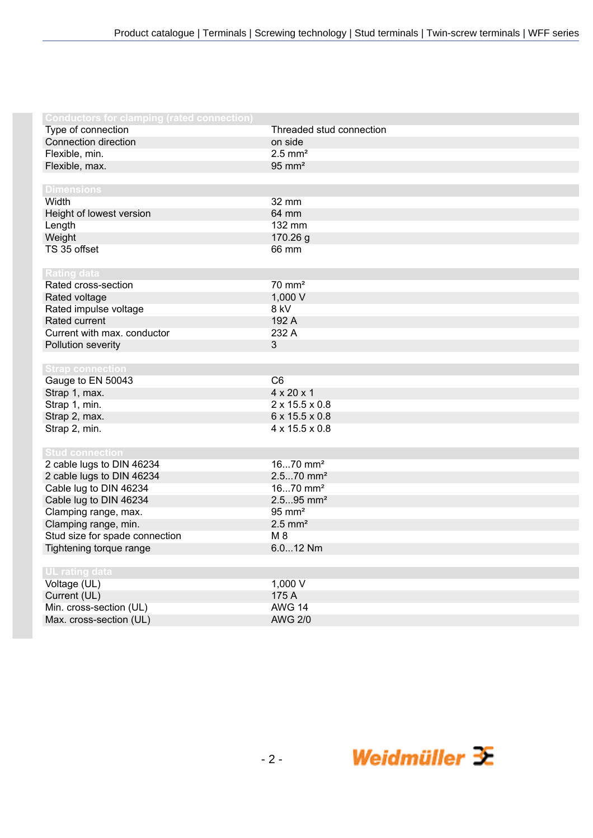| <b>Conductors for clamping (rated connection)</b> |                            |
|---------------------------------------------------|----------------------------|
| Type of connection                                | Threaded stud connection   |
| Connection direction                              | on side                    |
| Flexible, min.                                    | $2.5$ mm <sup>2</sup>      |
| Flexible, max.                                    | $95 \text{ mm}^2$          |
|                                                   |                            |
| <b>Dimensions</b>                                 |                            |
| Width                                             | 32 mm                      |
| Height of lowest version                          | 64 mm                      |
| Length                                            | 132 mm                     |
| Weight                                            | 170.26 g                   |
| TS 35 offset                                      | 66 mm                      |
|                                                   |                            |
| <b>Rating data</b>                                |                            |
| Rated cross-section                               | $70 \text{ mm}^2$          |
| Rated voltage                                     | 1,000 V                    |
| Rated impulse voltage                             | 8 kV                       |
| Rated current                                     | 192 A                      |
| Current with max. conductor                       | 232 A                      |
| Pollution severity                                | $\mathfrak{Z}$             |
|                                                   |                            |
| <b>Strap connection</b>                           |                            |
| Gauge to EN 50043                                 | C6                         |
| Strap 1, max.                                     | $4 \times 20 \times 1$     |
| Strap 1, min.                                     | $2 \times 15.5 \times 0.8$ |
| Strap 2, max.                                     | 6 x 15.5 x 0.8             |
| Strap 2, min.                                     | 4 x 15.5 x 0.8             |
|                                                   |                            |
| <b>Stud connection</b>                            |                            |
| 2 cable lugs to DIN 46234                         | 1670 mm <sup>2</sup>       |
| 2 cable lugs to DIN 46234                         | $2.570$ mm <sup>2</sup>    |
| Cable lug to DIN 46234                            | $1670$ mm <sup>2</sup>     |
| Cable lug to DIN 46234                            | $2.595$ mm <sup>2</sup>    |
| Clamping range, max.                              | $95 \text{ mm}^2$          |
| Clamping range, min.                              | $2.5$ mm <sup>2</sup>      |
| Stud size for spade connection                    | $M_8$                      |
| Tightening torque range                           | 6.012 Nm                   |
|                                                   |                            |
| UL rating data                                    |                            |
| Voltage (UL)                                      | 1,000 V                    |
| Current (UL)                                      | 175 A                      |
| Min. cross-section (UL)                           | <b>AWG 14</b>              |
| Max. cross-section (UL)                           | <b>AWG 2/0</b>             |